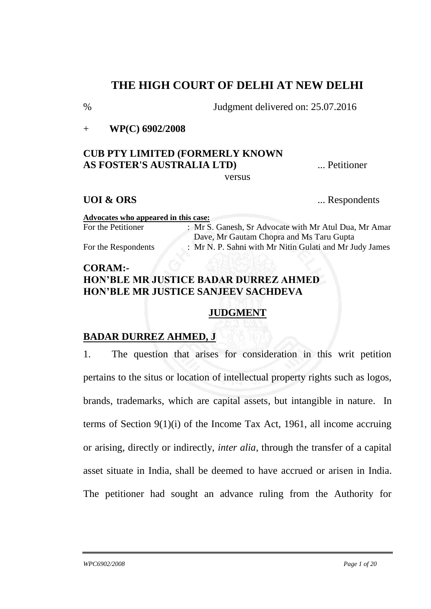# **THE HIGH COURT OF DELHI AT NEW DELHI**

% Judgment delivered on: 25.07.2016

+ **WP(C) 6902/2008** 

# **CUB PTY LIMITED (FORMERLY KNOWN AS FOSTER'S AUSTRALIA LTD)** ... Petitioner

versus

**UOI & ORS** ... Respondents

| Advocates who appeared in this case: |                                                         |
|--------------------------------------|---------------------------------------------------------|
| For the Petitioner                   | : Mr S. Ganesh, Sr Advocate with Mr Atul Dua, Mr Amar   |
|                                      | Dave, Mr Gautam Chopra and Ms Taru Gupta                |
| For the Respondents                  | : Mr N. P. Sahni with Mr Nitin Gulati and Mr Judy James |
|                                      |                                                         |

## **CORAM:- HON'BLE MR JUSTICE BADAR DURREZ AHMED HON'BLE MR JUSTICE SANJEEV SACHDEVA**

# **JUDGMENT**

## **BADAR DURREZ AHMED, J**

1. The question that arises for consideration in this writ petition pertains to the situs or location of intellectual property rights such as logos, brands, trademarks, which are capital assets, but intangible in nature. In terms of Section 9(1)(i) of the Income Tax Act, 1961, all income accruing or arising, directly or indirectly, *inter alia*, through the transfer of a capital asset situate in India, shall be deemed to have accrued or arisen in India. The petitioner had sought an advance ruling from the Authority for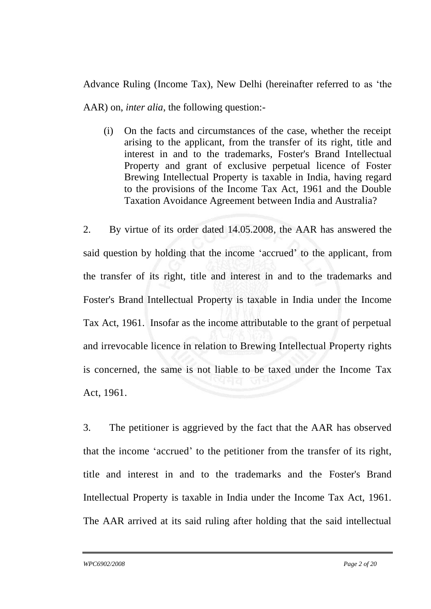Advance Ruling (Income Tax), New Delhi (hereinafter referred to as 'the AAR) on, *inter alia*, the following question:-

(i) On the facts and circumstances of the case, whether the receipt arising to the applicant, from the transfer of its right, title and interest in and to the trademarks, Foster's Brand Intellectual Property and grant of exclusive perpetual licence of Foster Brewing Intellectual Property is taxable in India, having regard to the provisions of the Income Tax Act, 1961 and the Double Taxation Avoidance Agreement between India and Australia?

2. By virtue of its order dated 14.05.2008, the AAR has answered the said question by holding that the income 'accrued' to the applicant, from the transfer of its right, title and interest in and to the trademarks and Foster's Brand Intellectual Property is taxable in India under the Income Tax Act, 1961. Insofar as the income attributable to the grant of perpetual and irrevocable licence in relation to Brewing Intellectual Property rights is concerned, the same is not liable to be taxed under the Income Tax Act, 1961.

3. The petitioner is aggrieved by the fact that the AAR has observed that the income 'accrued' to the petitioner from the transfer of its right, title and interest in and to the trademarks and the Foster's Brand Intellectual Property is taxable in India under the Income Tax Act, 1961. The AAR arrived at its said ruling after holding that the said intellectual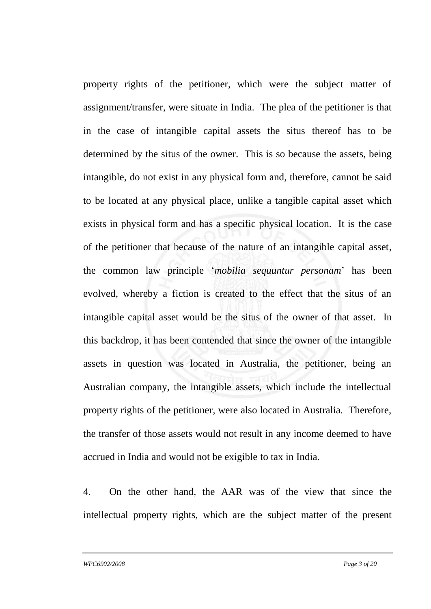property rights of the petitioner, which were the subject matter of assignment/transfer, were situate in India. The plea of the petitioner is that in the case of intangible capital assets the situs thereof has to be determined by the situs of the owner. This is so because the assets, being intangible, do not exist in any physical form and, therefore, cannot be said to be located at any physical place, unlike a tangible capital asset which exists in physical form and has a specific physical location. It is the case of the petitioner that because of the nature of an intangible capital asset, the common law principle '*mobilia sequuntur personam*' has been evolved, whereby a fiction is created to the effect that the situs of an intangible capital asset would be the situs of the owner of that asset. In this backdrop, it has been contended that since the owner of the intangible assets in question was located in Australia, the petitioner, being an Australian company, the intangible assets, which include the intellectual property rights of the petitioner, were also located in Australia. Therefore, the transfer of those assets would not result in any income deemed to have accrued in India and would not be exigible to tax in India.

4. On the other hand, the AAR was of the view that since the intellectual property rights, which are the subject matter of the present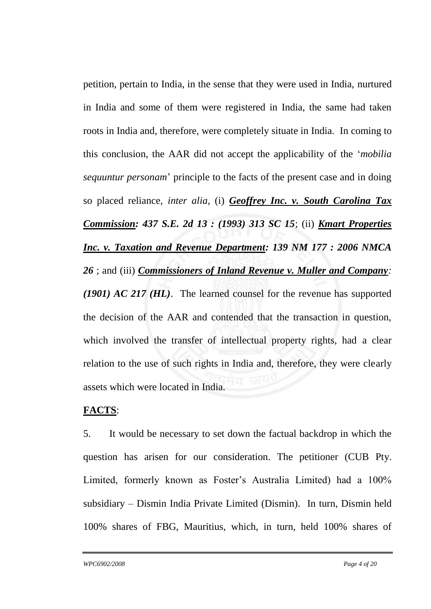petition, pertain to India, in the sense that they were used in India, nurtured in India and some of them were registered in India, the same had taken roots in India and, therefore, were completely situate in India. In coming to this conclusion, the AAR did not accept the applicability of the '*mobilia sequuntur personam*' principle to the facts of the present case and in doing so placed reliance, *inter alia*, (i) *Geoffrey Inc. v. South Carolina Tax Commission: 437 S.E. 2d 13 : (1993) 313 SC 15*; (ii) *Kmart Properties Inc. v. Taxation and Revenue Department: 139 NM 177 : 2006 NMCA 26* ; and (iii) *Commissioners of Inland Revenue v. Muller and Company: (1901) AC 217 (HL)*.The learned counsel for the revenue has supported the decision of the AAR and contended that the transaction in question, which involved the transfer of intellectual property rights, had a clear relation to the use of such rights in India and, therefore, they were clearly assets which were located in India.

## **FACTS**:

5. It would be necessary to set down the factual backdrop in which the question has arisen for our consideration. The petitioner (CUB Pty. Limited, formerly known as Foster's Australia Limited) had a 100% subsidiary – Dismin India Private Limited (Dismin). In turn, Dismin held 100% shares of FBG, Mauritius, which, in turn, held 100% shares of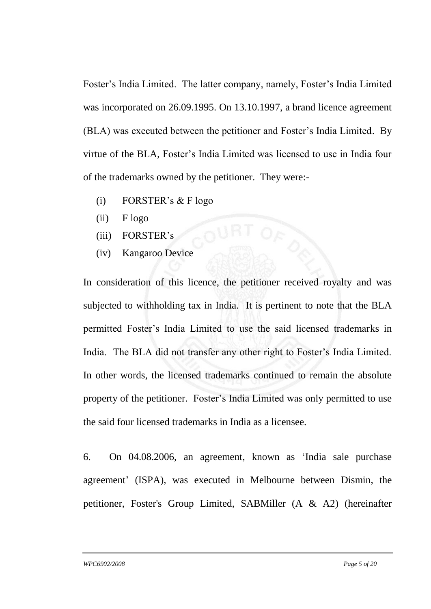Foster's India Limited. The latter company, namely, Foster's India Limited was incorporated on 26.09.1995. On 13.10.1997, a brand licence agreement (BLA) was executed between the petitioner and Foster's India Limited. By virtue of the BLA, Foster's India Limited was licensed to use in India four of the trademarks owned by the petitioner. They were:-

- (i) FORSTER's  $&$  F logo
- $(ii)$  F logo
- (iii) FORSTER's
- (iv) Kangaroo Device

In consideration of this licence, the petitioner received royalty and was subjected to withholding tax in India. It is pertinent to note that the BLA permitted Foster's India Limited to use the said licensed trademarks in India. The BLA did not transfer any other right to Foster's India Limited. In other words, the licensed trademarks continued to remain the absolute property of the petitioner. Foster's India Limited was only permitted to use the said four licensed trademarks in India as a licensee.

6. On 04.08.2006, an agreement, known as 'India sale purchase agreement' (ISPA), was executed in Melbourne between Dismin, the petitioner, Foster's Group Limited, SABMiller (A & A2) (hereinafter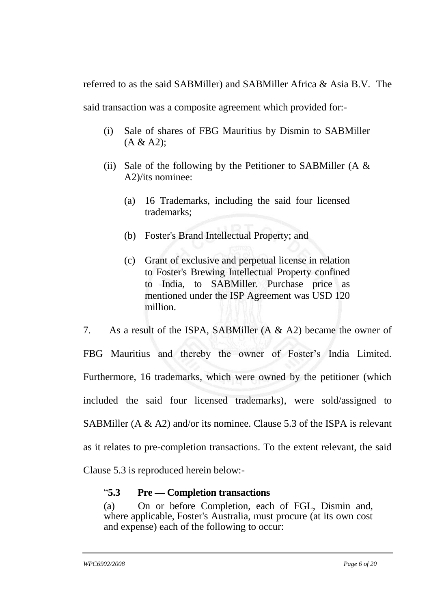referred to as the said SABMiller) and SABMiller Africa & Asia B.V. The

said transaction was a composite agreement which provided for:-

- (i) Sale of shares of FBG Mauritius by Dismin to SABMiller  $(A & A2);$
- (ii) Sale of the following by the Petitioner to SABMiller (A  $&$ A2)/its nominee:
	- (a) 16 Trademarks, including the said four licensed trademarks;
	- (b) Foster's Brand Intellectual Property; and
	- (c) Grant of exclusive and perpetual license in relation to Foster's Brewing Intellectual Property confined to India, to SABMiller. Purchase price as mentioned under the ISP Agreement was USD 120 million.

7. As a result of the ISPA, SABMiller (A & A2) became the owner of FBG Mauritius and thereby the owner of Foster's India Limited. Furthermore, 16 trademarks, which were owned by the petitioner (which included the said four licensed trademarks), were sold/assigned to SABMiller (A & A2) and/or its nominee. Clause 5.3 of the ISPA is relevant as it relates to pre-completion transactions. To the extent relevant, the said Clause 5.3 is reproduced herein below:-

# "**5.3 Pre — Completion transactions**

(a) On or before Completion, each of FGL, Dismin and, where applicable, Foster's Australia, must procure (at its own cost and expense) each of the following to occur: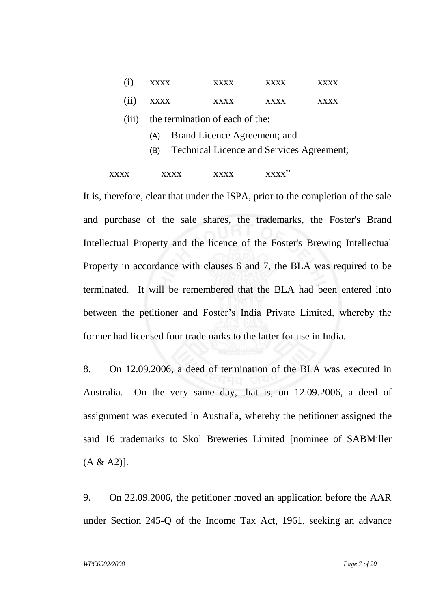|       | <b>XXXX</b>                                                                             | <b>xxxx</b> | xxxx        | $\mathbf{X} \mathbf{X} \mathbf{X}$ |  |
|-------|-----------------------------------------------------------------------------------------|-------------|-------------|------------------------------------|--|
| (i)   | <b>XXXX</b>                                                                             | <b>XXXX</b> | <b>XXXX</b> | <b>xxxx</b>                        |  |
| (111) | the termination of each of the:                                                         |             |             |                                    |  |
|       | Brand Licence Agreement; and<br>(A)<br>Technical Licence and Services Agreement;<br>(B) |             |             |                                    |  |
|       |                                                                                         |             |             |                                    |  |

It is, therefore, clear that under the ISPA, prior to the completion of the sale and purchase of the sale shares, the trademarks, the Foster's Brand Intellectual Property and the licence of the Foster's Brewing Intellectual Property in accordance with clauses 6 and 7, the BLA was required to be terminated. It will be remembered that the BLA had been entered into between the petitioner and Foster's India Private Limited, whereby the former had licensed four trademarks to the latter for use in India.

8. On 12.09.2006, a deed of termination of the BLA was executed in Australia. On the very same day, that is, on 12.09.2006, a deed of assignment was executed in Australia, whereby the petitioner assigned the said 16 trademarks to Skol Breweries Limited [nominee of SABMiller  $(A & A2)$ ].

9. On 22.09.2006, the petitioner moved an application before the AAR under Section 245-Q of the Income Tax Act, 1961, seeking an advance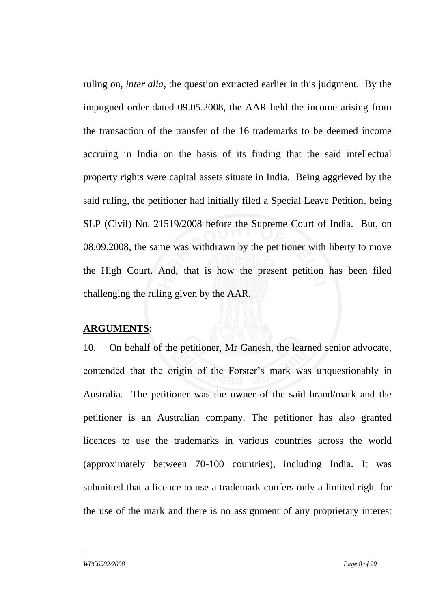ruling on, *inter alia*, the question extracted earlier in this judgment. By the impugned order dated 09.05.2008, the AAR held the income arising from the transaction of the transfer of the 16 trademarks to be deemed income accruing in India on the basis of its finding that the said intellectual property rights were capital assets situate in India. Being aggrieved by the said ruling, the petitioner had initially filed a Special Leave Petition, being SLP (Civil) No. 21519/2008 before the Supreme Court of India. But, on 08.09.2008, the same was withdrawn by the petitioner with liberty to move the High Court. And, that is how the present petition has been filed challenging the ruling given by the AAR.

#### **ARGUMENTS**:

10. On behalf of the petitioner, Mr Ganesh, the learned senior advocate, contended that the origin of the Forster's mark was unquestionably in Australia. The petitioner was the owner of the said brand/mark and the petitioner is an Australian company. The petitioner has also granted licences to use the trademarks in various countries across the world (approximately between 70-100 countries), including India. It was submitted that a licence to use a trademark confers only a limited right for the use of the mark and there is no assignment of any proprietary interest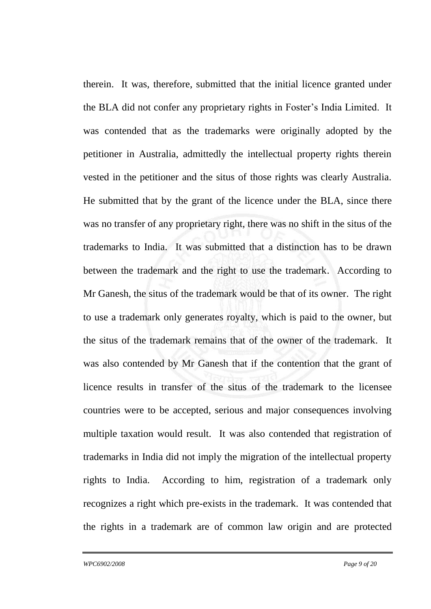therein. It was, therefore, submitted that the initial licence granted under the BLA did not confer any proprietary rights in Foster's India Limited. It was contended that as the trademarks were originally adopted by the petitioner in Australia, admittedly the intellectual property rights therein vested in the petitioner and the situs of those rights was clearly Australia. He submitted that by the grant of the licence under the BLA, since there was no transfer of any proprietary right, there was no shift in the situs of the trademarks to India. It was submitted that a distinction has to be drawn between the trademark and the right to use the trademark. According to Mr Ganesh, the situs of the trademark would be that of its owner. The right to use a trademark only generates royalty, which is paid to the owner, but the situs of the trademark remains that of the owner of the trademark. It was also contended by Mr Ganesh that if the contention that the grant of licence results in transfer of the situs of the trademark to the licensee countries were to be accepted, serious and major consequences involving multiple taxation would result. It was also contended that registration of trademarks in India did not imply the migration of the intellectual property rights to India. According to him, registration of a trademark only recognizes a right which pre-exists in the trademark. It was contended that the rights in a trademark are of common law origin and are protected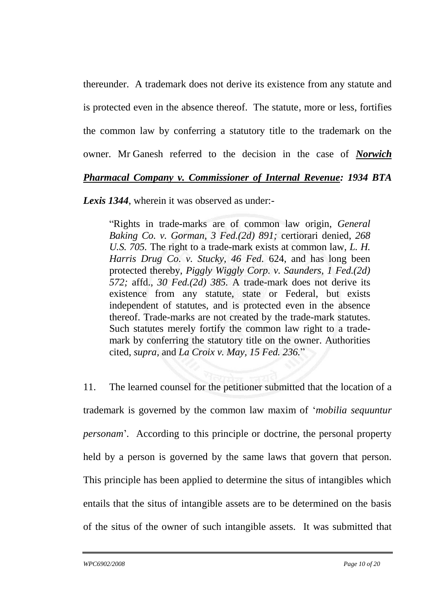thereunder. A trademark does not derive its existence from any statute and is protected even in the absence thereof. The statute, more or less, fortifies the common law by conferring a statutory title to the trademark on the owner. Mr Ganesh referred to the decision in the case of *Norwich* 

## *Pharmacal Company v. Commissioner of Internal Revenue: 1934 BTA*

*Lexis 1344*, wherein it was observed as under:-

"Rights in trade-marks are of common law origin, *General Baking Co. v. Gorman, 3 Fed.(2d) 891;* certiorari denied, *268 U.S. 705.* The right to a trade-mark exists at common law, *L. H. Harris Drug Co. v. Stucky, 46 Fed.* 624, and has long been protected thereby, *Piggly Wiggly Corp. v. Saunders, 1 Fed.(2d) 572;* affd., *30 Fed.(2d) 385.* A trade-mark does not derive its existence from any statute, state or Federal, but exists independent of statutes, and is protected even in the absence thereof. Trade-marks are not created by the trade-mark statutes. Such statutes merely fortify the common law right to a trademark by conferring the statutory title on the owner. Authorities cited, *supra,* and *La Croix v. May, 15 Fed. 236.*"

11. The learned counsel for the petitioner submitted that the location of a trademark is governed by the common law maxim of '*mobilia sequuntur personam*'*.* According to this principle or doctrine, the personal property held by a person is governed by the same laws that govern that person. This principle has been applied to determine the situs of intangibles which entails that the situs of intangible assets are to be determined on the basis of the situs of the owner of such intangible assets. It was submitted that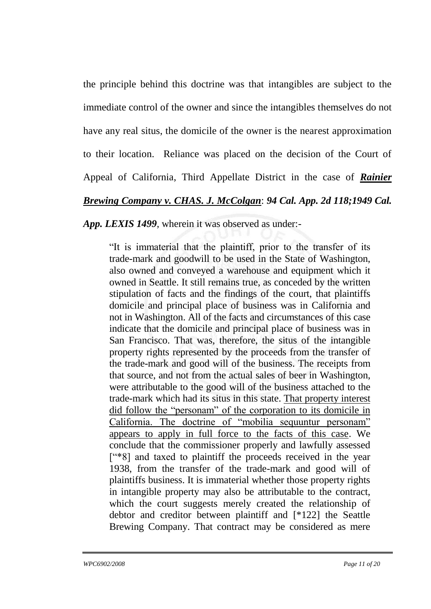the principle behind this doctrine was that intangibles are subject to the immediate control of the owner and since the intangibles themselves do not have any real situs, the domicile of the owner is the nearest approximation to their location. Reliance was placed on the decision of the Court of Appeal of California, Third Appellate District in the case of *Rainier Brewing Company v. CHAS. J. McColgan*: *94 Cal. App. 2d 118;1949 Cal.* 

*App. LEXIS 1499*, wherein it was observed as under:-

"It is immaterial that the plaintiff, prior to the transfer of its trade-mark and goodwill to be used in the State of Washington, also owned and conveyed a warehouse and equipment which it owned in Seattle. It still remains true, as conceded by the written stipulation of facts and the findings of the court, that plaintiffs domicile and principal place of business was in California and not in Washington. All of the facts and circumstances of this case indicate that the domicile and principal place of business was in San Francisco. That was, therefore, the situs of the intangible property rights represented by the proceeds from the transfer of the trade-mark and good will of the business. The receipts from that source, and not from the actual sales of beer in Washington, were attributable to the good will of the business attached to the trade-mark which had its situs in this state. That property interest did follow the "personam" of the corporation to its domicile in California. The doctrine of "mobilia sequuntur personam" appears to apply in full force to the facts of this case. We conclude that the commissioner properly and lawfully assessed ["\*8] and taxed to plaintiff the proceeds received in the year 1938, from the transfer of the trade-mark and good will of plaintiffs business. It is immaterial whether those property rights in intangible property may also be attributable to the contract, which the court suggests merely created the relationship of debtor and creditor between plaintiff and [\*122] the Seattle Brewing Company. That contract may be considered as mere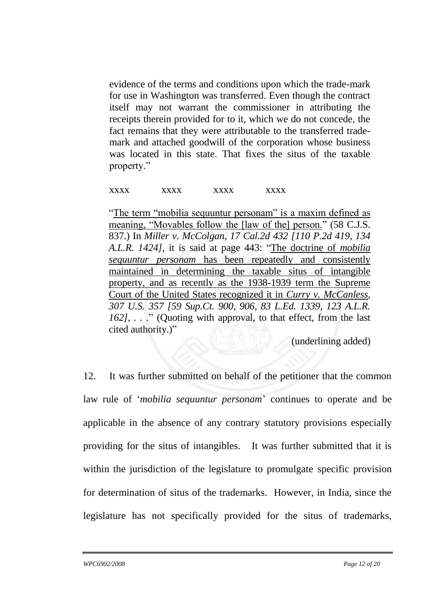evidence of the terms and conditions upon which the trade-mark for use in Washington was transferred. Even though the contract itself may not warrant the commissioner in attributing the receipts therein provided for to it, which we do not concede, the fact remains that they were attributable to the transferred trademark and attached goodwill of the corporation whose business was located in this state. That fixes the situs of the taxable property."

#### xxxx xxxx xxxx xxxx

"The term "mobilia sequuntur personam" is a maxim defined as meaning, "Movables follow the [law of the] person." (58 C.J.S. 837.) In *Miller v. McColgan, 17 Cal.2d 432 [110 P.2d 419, 134 A.L.R. 1424],* it is said at page 443: "The doctrine of *mobilia sequuntur personam* has been repeatedly and consistently maintained in determining the taxable situs of intangible property, and as recently as the 1938-1939 term the Supreme Court of the United States recognized it in *Curry v. McCanless, 307 U.S. 357 [59 Sup.Ct. 900, 906, 83 L.Ed. 1339, 123 A.L.R. 162], . . .*" (Quoting with approval, to that effect, from the last cited authority.)"

(underlining added)

12. It was further submitted on behalf of the petitioner that the common law rule of '*mobilia sequuntur personam*' continues to operate and be applicable in the absence of any contrary statutory provisions especially providing for the situs of intangibles. It was further submitted that it is within the jurisdiction of the legislature to promulgate specific provision for determination of situs of the trademarks. However, in India, since the legislature has not specifically provided for the situs of trademarks,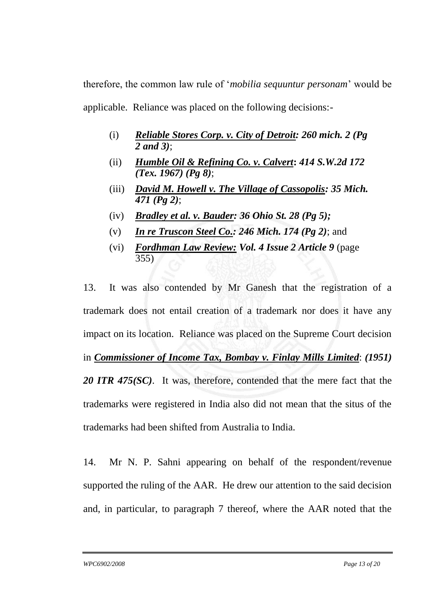therefore, the common law rule of '*mobilia sequuntur personam*' would be applicable. Reliance was placed on the following decisions:-

- (i) *Reliable Stores Corp. v. City of Detroit: 260 mich. 2 (Pg 2 and 3)*;
- (ii) *Humble Oil & Refining Co. v. Calvert***:** *414 S.W.2d 172 (Tex. 1967) (Pg 8)*;
- (iii) *David M. Howell v. The Village of Cassopolis: 35 Mich. 471 (Pg 2)*;
- (iv) *Bradley et al. v. Bauder: 36 Ohio St. 28 (Pg 5);*
- (v) *In re Truscon Steel Co.: 246 Mich. 174 (Pg 2)*; and
- (vi) *Fordhman Law Review: Vol. 4 Issue 2 Article 9* (page 355)

13. It was also contended by Mr Ganesh that the registration of a trademark does not entail creation of a trademark nor does it have any impact on its location. Reliance was placed on the Supreme Court decision in *Commissioner of Income Tax, Bombay v. Finlay Mills Limited*: *(1951) 20 ITR 475(SC)*. It was, therefore, contended that the mere fact that the trademarks were registered in India also did not mean that the situs of the trademarks had been shifted from Australia to India.

14. Mr N. P. Sahni appearing on behalf of the respondent/revenue supported the ruling of the AAR. He drew our attention to the said decision and, in particular, to paragraph 7 thereof, where the AAR noted that the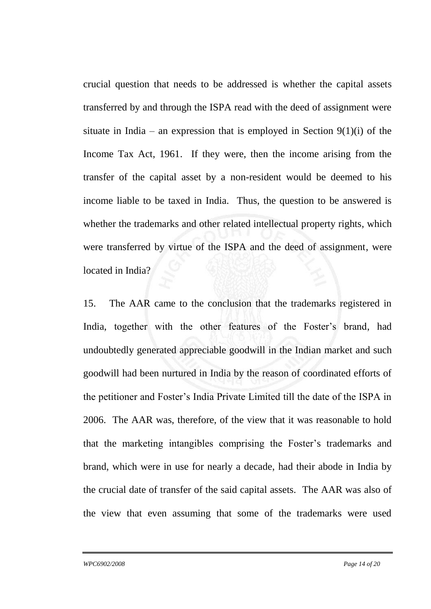crucial question that needs to be addressed is whether the capital assets transferred by and through the ISPA read with the deed of assignment were situate in India – an expression that is employed in Section  $9(1)(i)$  of the Income Tax Act, 1961. If they were, then the income arising from the transfer of the capital asset by a non-resident would be deemed to his income liable to be taxed in India. Thus, the question to be answered is whether the trademarks and other related intellectual property rights, which were transferred by virtue of the ISPA and the deed of assignment, were located in India?

15. The AAR came to the conclusion that the trademarks registered in India, together with the other features of the Foster's brand, had undoubtedly generated appreciable goodwill in the Indian market and such goodwill had been nurtured in India by the reason of coordinated efforts of the petitioner and Foster's India Private Limited till the date of the ISPA in 2006. The AAR was, therefore, of the view that it was reasonable to hold that the marketing intangibles comprising the Foster's trademarks and brand, which were in use for nearly a decade, had their abode in India by the crucial date of transfer of the said capital assets. The AAR was also of the view that even assuming that some of the trademarks were used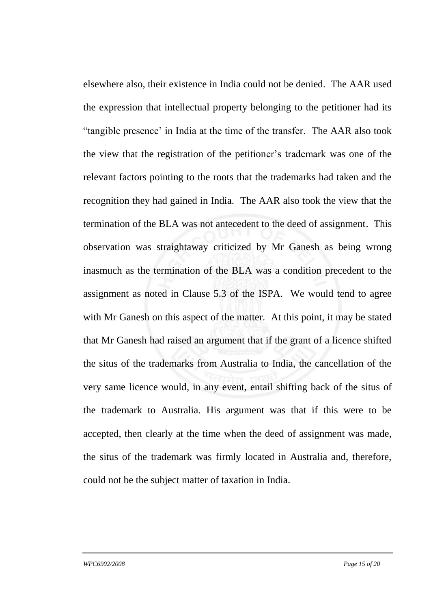elsewhere also, their existence in India could not be denied. The AAR used the expression that intellectual property belonging to the petitioner had its "tangible presence' in India at the time of the transfer. The AAR also took the view that the registration of the petitioner's trademark was one of the relevant factors pointing to the roots that the trademarks had taken and the recognition they had gained in India. The AAR also took the view that the termination of the BLA was not antecedent to the deed of assignment. This observation was straightaway criticized by Mr Ganesh as being wrong inasmuch as the termination of the BLA was a condition precedent to the assignment as noted in Clause 5.3 of the ISPA. We would tend to agree with Mr Ganesh on this aspect of the matter. At this point, it may be stated that Mr Ganesh had raised an argument that if the grant of a licence shifted the situs of the trademarks from Australia to India, the cancellation of the very same licence would, in any event, entail shifting back of the situs of the trademark to Australia. His argument was that if this were to be accepted, then clearly at the time when the deed of assignment was made, the situs of the trademark was firmly located in Australia and, therefore, could not be the subject matter of taxation in India.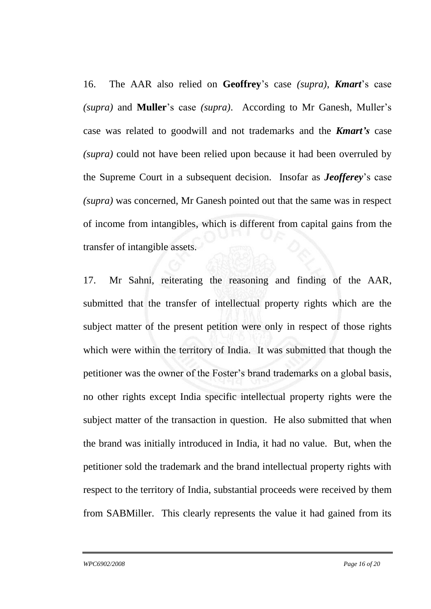16. The AAR also relied on **Geoffrey**'s case *(supra)*, *Kmart*'s case *(supra)* and **Muller**'s case *(supra)*. According to Mr Ganesh, Muller's case was related to goodwill and not trademarks and the *Kmart's* case *(supra)* could not have been relied upon because it had been overruled by the Supreme Court in a subsequent decision. Insofar as *Jeofferey*'s case *(supra)* was concerned, Mr Ganesh pointed out that the same was in respect of income from intangibles, which is different from capital gains from the transfer of intangible assets.

17. Mr Sahni, reiterating the reasoning and finding of the AAR, submitted that the transfer of intellectual property rights which are the subject matter of the present petition were only in respect of those rights which were within the territory of India. It was submitted that though the petitioner was the owner of the Foster's brand trademarks on a global basis, no other rights except India specific intellectual property rights were the subject matter of the transaction in question. He also submitted that when the brand was initially introduced in India, it had no value. But, when the petitioner sold the trademark and the brand intellectual property rights with respect to the territory of India, substantial proceeds were received by them from SABMiller. This clearly represents the value it had gained from its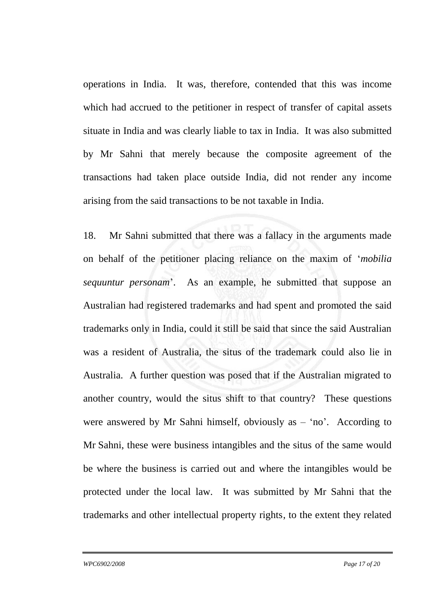operations in India. It was, therefore, contended that this was income which had accrued to the petitioner in respect of transfer of capital assets situate in India and was clearly liable to tax in India. It was also submitted by Mr Sahni that merely because the composite agreement of the transactions had taken place outside India, did not render any income arising from the said transactions to be not taxable in India.

18. Mr Sahni submitted that there was a fallacy in the arguments made on behalf of the petitioner placing reliance on the maxim of '*mobilia sequuntur personam*'. As an example, he submitted that suppose an Australian had registered trademarks and had spent and promoted the said trademarks only in India, could it still be said that since the said Australian was a resident of Australia, the situs of the trademark could also lie in Australia. A further question was posed that if the Australian migrated to another country, would the situs shift to that country? These questions were answered by Mr Sahni himself, obviously as  $-$  'no'. According to Mr Sahni, these were business intangibles and the situs of the same would be where the business is carried out and where the intangibles would be protected under the local law. It was submitted by Mr Sahni that the trademarks and other intellectual property rights, to the extent they related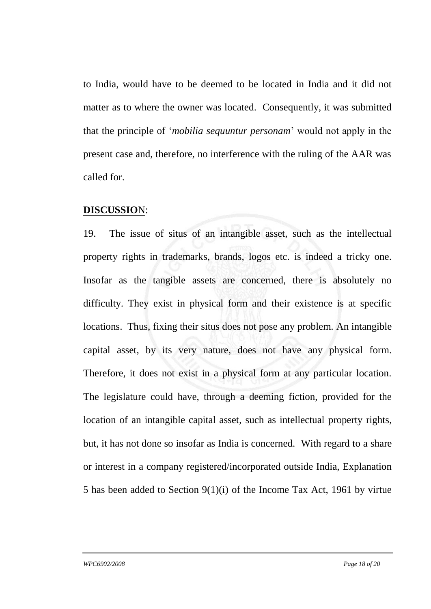to India, would have to be deemed to be located in India and it did not matter as to where the owner was located. Consequently, it was submitted that the principle of '*mobilia sequuntur personam*' would not apply in the present case and, therefore, no interference with the ruling of the AAR was called for.

#### **DISCUSSIO**N:

19. The issue of situs of an intangible asset, such as the intellectual property rights in trademarks, brands, logos etc. is indeed a tricky one. Insofar as the tangible assets are concerned, there is absolutely no difficulty. They exist in physical form and their existence is at specific locations. Thus, fixing their situs does not pose any problem. An intangible capital asset, by its very nature, does not have any physical form. Therefore, it does not exist in a physical form at any particular location. The legislature could have, through a deeming fiction, provided for the location of an intangible capital asset, such as intellectual property rights, but, it has not done so insofar as India is concerned. With regard to a share or interest in a company registered/incorporated outside India, Explanation 5 has been added to Section 9(1)(i) of the Income Tax Act, 1961 by virtue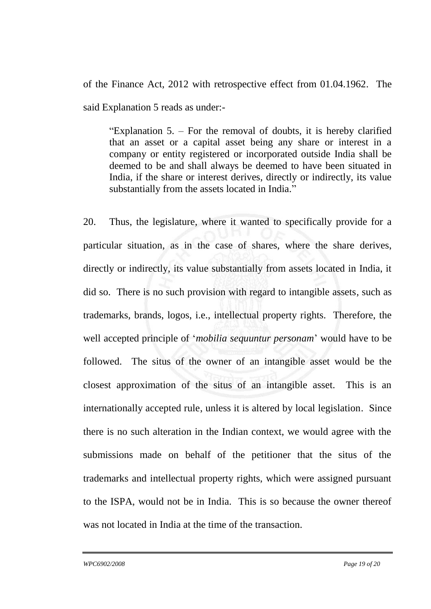of the Finance Act, 2012 with retrospective effect from 01.04.1962. The said Explanation 5 reads as under:-

"Explanation 5. – For the removal of doubts, it is hereby clarified that an asset or a capital asset being any share or interest in a company or entity registered or incorporated outside India shall be deemed to be and shall always be deemed to have been situated in India, if the share or interest derives, directly or indirectly, its value substantially from the assets located in India."

20. Thus, the legislature, where it wanted to specifically provide for a particular situation, as in the case of shares, where the share derives, directly or indirectly, its value substantially from assets located in India, it did so. There is no such provision with regard to intangible assets, such as trademarks, brands, logos, i.e., intellectual property rights. Therefore, the well accepted principle of '*mobilia sequuntur personam*' would have to be followed. The situs of the owner of an intangible asset would be the closest approximation of the situs of an intangible asset. This is an internationally accepted rule, unless it is altered by local legislation. Since there is no such alteration in the Indian context, we would agree with the submissions made on behalf of the petitioner that the situs of the trademarks and intellectual property rights, which were assigned pursuant to the ISPA, would not be in India. This is so because the owner thereof was not located in India at the time of the transaction.